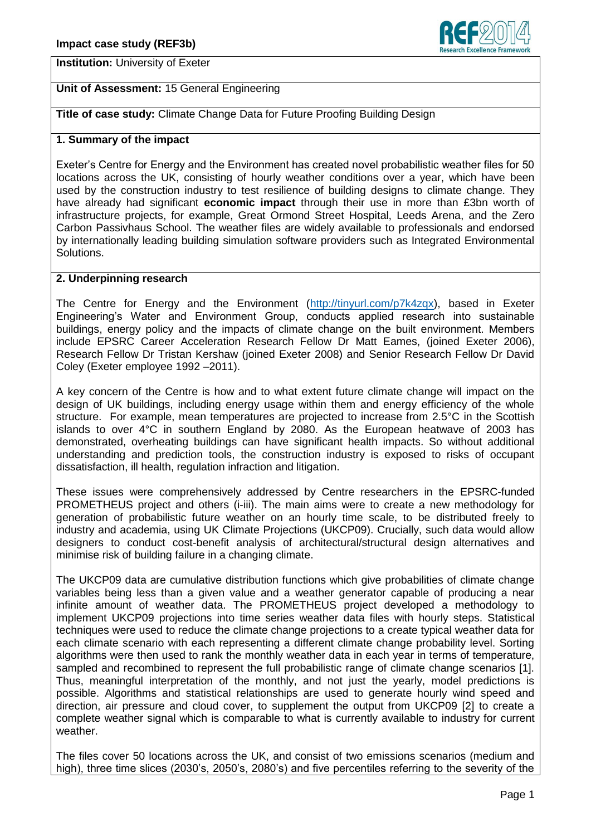

**Institution:** University of Exeter

# **Unit of Assessment:** 15 General Engineering

**Title of case study:** Climate Change Data for Future Proofing Building Design

#### **1. Summary of the impact**

Exeter's Centre for Energy and the Environment has created novel probabilistic weather files for 50 locations across the UK, consisting of hourly weather conditions over a year, which have been used by the construction industry to test resilience of building designs to climate change. They have already had significant **economic impact** through their use in more than £3bn worth of infrastructure projects, for example, Great Ormond Street Hospital, Leeds Arena, and the Zero Carbon Passivhaus School. The weather files are widely available to professionals and endorsed by internationally leading building simulation software providers such as Integrated Environmental Solutions.

#### **2. Underpinning research**

The Centre for Energy and the Environment [\(http://tinyurl.com/p7k4zqx\)](http://tinyurl.com/p7k4zqx), based in Exeter Engineering's Water and Environment Group, conducts applied research into sustainable buildings, energy policy and the impacts of climate change on the built environment. Members include EPSRC Career Acceleration Research Fellow Dr Matt Eames, (joined Exeter 2006), Research Fellow Dr Tristan Kershaw (joined Exeter 2008) and Senior Research Fellow Dr David Coley (Exeter employee 1992 –2011).

A key concern of the Centre is how and to what extent future climate change will impact on the design of UK buildings, including energy usage within them and energy efficiency of the whole structure. For example, mean temperatures are projected to increase from 2.5°C in the Scottish islands to over 4°C in southern England by 2080. As the European heatwave of 2003 has demonstrated, overheating buildings can have significant health impacts. So without additional understanding and prediction tools, the construction industry is exposed to risks of occupant dissatisfaction, ill health, regulation infraction and litigation.

These issues were comprehensively addressed by Centre researchers in the EPSRC-funded PROMETHEUS project and others (i-iii). The main aims were to create a new methodology for generation of probabilistic future weather on an hourly time scale, to be distributed freely to industry and academia, using UK Climate Projections (UKCP09). Crucially, such data would allow designers to conduct cost-benefit analysis of architectural/structural design alternatives and minimise risk of building failure in a changing climate.

The UKCP09 data are cumulative distribution functions which give probabilities of climate change variables being less than a given value and a weather generator capable of producing a near infinite amount of weather data. The PROMETHEUS project developed a methodology to implement UKCP09 projections into time series weather data files with hourly steps. Statistical techniques were used to reduce the climate change projections to a create typical weather data for each climate scenario with each representing a different climate change probability level. Sorting algorithms were then used to rank the monthly weather data in each year in terms of temperature, sampled and recombined to represent the full probabilistic range of climate change scenarios [1]. Thus, meaningful interpretation of the monthly, and not just the yearly, model predictions is possible. Algorithms and statistical relationships are used to generate hourly wind speed and direction, air pressure and cloud cover, to supplement the output from UKCP09 [2] to create a complete weather signal which is comparable to what is currently available to industry for current weather.

The files cover 50 locations across the UK, and consist of two emissions scenarios (medium and high), three time slices (2030's, 2050's, 2080's) and five percentiles referring to the severity of the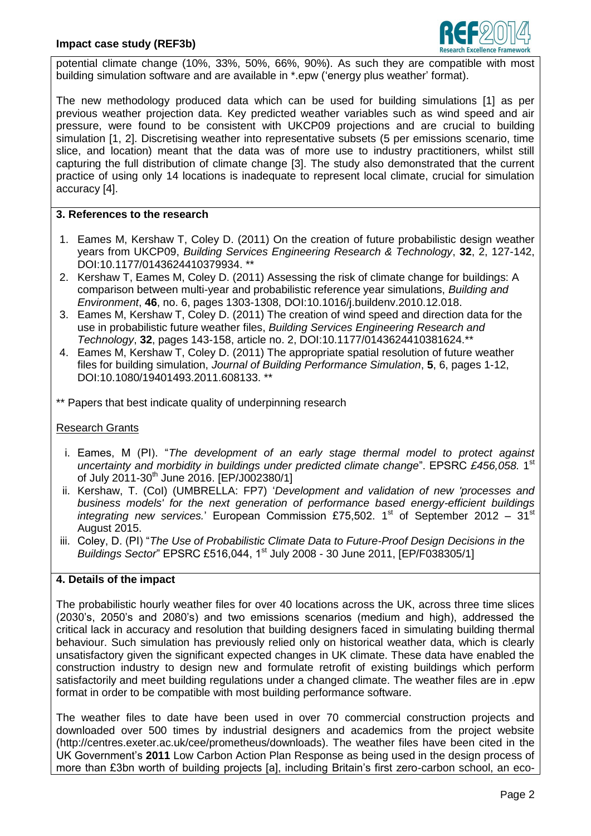

potential climate change (10%, 33%, 50%, 66%, 90%). As such they are compatible with most building simulation software and are available in \*.epw ('energy plus weather' format).

The new methodology produced data which can be used for building simulations [1] as per previous weather projection data. Key predicted weather variables such as wind speed and air pressure, were found to be consistent with UKCP09 projections and are crucial to building simulation [1, 2]. Discretising weather into representative subsets (5 per emissions scenario, time slice, and location) meant that the data was of more use to industry practitioners, whilst still capturing the full distribution of climate change [3]. The study also demonstrated that the current practice of using only 14 locations is inadequate to represent local climate, crucial for simulation accuracy [4].

# **3. References to the research**

- 1. Eames M, Kershaw T, Coley D. (2011) On the creation of future probabilistic design weather years from UKCP09, *Building Services Engineering Research & Technology*, **32**, 2, 127-142, DOI:10.1177/0143624410379934. \*\*
- 2. Kershaw T, Eames M, Coley D. (2011) Assessing the risk of climate change for buildings: A comparison between multi-year and probabilistic reference year simulations, *Building and Environment*, **46**, no. 6, pages 1303-1308, DOI:10.1016/j.buildenv.2010.12.018.
- 3. Eames M, Kershaw T, Coley D. (2011) The creation of wind speed and direction data for the use in probabilistic future weather files, *Building Services Engineering Research and Technology*, **32**, pages 143-158, article no. 2, DOI:10.1177/0143624410381624.\*\*
- 4. Eames M, Kershaw T, Coley D. (2011) The appropriate spatial resolution of future weather files for building simulation, *Journal of Building Performance Simulation*, **5**, 6, pages 1-12, DOI:10.1080/19401493.2011.608133. \*\*
- \*\* Papers that best indicate quality of underpinning research

# Research Grants

- i. Eames, M (PI). "*The development of an early stage thermal model to protect against*  uncertainty and morbidity in buildings under predicted climate change". EPSRC £456,058. 1<sup>st</sup> of July 2011-30<sup>th</sup> June 2016. [EP/J002380/1]
- ii. Kershaw, T. (CoI) (UMBRELLA: FP7) '*Development and validation of new 'processes and business models' for the next generation of performance based energy-efficient buildings*  integrating new services.' European Commission £75,502.  $1<sup>st</sup>$  of September 2012 –  $31<sup>st</sup>$ August 2015.
- iii. Coley, D. (PI) "*The Use of Probabilistic Climate Data to Future-Proof Design Decisions in the Buildings Sector*" EPSRC £516,044, 1<sup>st</sup> July 2008 - 30 June 2011, [EP/F038305/1]

# **4. Details of the impact**

The probabilistic hourly weather files for over 40 locations across the UK, across three time slices (2030's, 2050's and 2080's) and two emissions scenarios (medium and high), addressed the critical lack in accuracy and resolution that building designers faced in simulating building thermal behaviour. Such simulation has previously relied only on historical weather data, which is clearly unsatisfactory given the significant expected changes in UK climate. These data have enabled the construction industry to design new and formulate retrofit of existing buildings which perform satisfactorily and meet building regulations under a changed climate. The weather files are in .epw format in order to be compatible with most building performance software.

The weather files to date have been used in over 70 commercial construction projects and downloaded over 500 times by industrial designers and academics from the project website (http://centres.exeter.ac.uk/cee/prometheus/downloads). The weather files have been cited in the UK Government's **2011** Low Carbon Action Plan Response as being used in the design process of more than £3bn worth of building projects [a], including Britain's first zero-carbon school, an eco-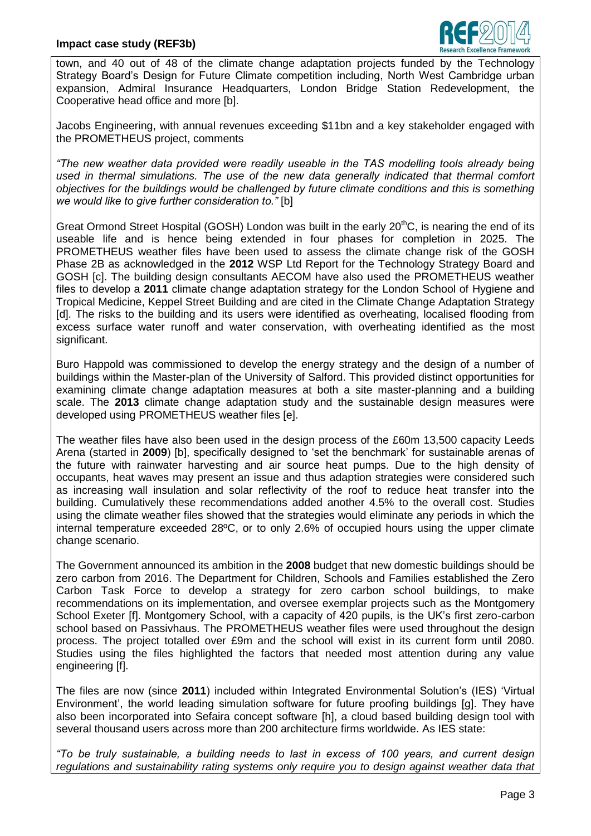

town, and 40 out of 48 of the climate change adaptation projects funded by the Technology Strategy Board's Design for Future Climate competition including, North West Cambridge urban expansion, Admiral Insurance Headquarters, London Bridge Station Redevelopment, the Cooperative head office and more [b].

Jacobs Engineering, with annual revenues exceeding \$11bn and a key stakeholder engaged with the PROMETHEUS project, comments

*"The new weather data provided were readily useable in the TAS modelling tools already being*  used in thermal simulations. The use of the new data generally indicated that thermal comfort *objectives for the buildings would be challenged by future climate conditions and this is something we would like to give further consideration to."* [b]

Great Ormond Street Hospital (GOSH) London was built in the early  $20<sup>th</sup>C$ , is nearing the end of its useable life and is hence being extended in four phases for completion in 2025. The PROMETHEUS weather files have been used to assess the climate change risk of the GOSH Phase 2B as acknowledged in the **2012** WSP Ltd Report for the Technology Strategy Board and GOSH [c]. The building design consultants AECOM have also used the PROMETHEUS weather files to develop a **2011** climate change adaptation strategy for the London School of Hygiene and Tropical Medicine, Keppel Street Building and are cited in the Climate Change Adaptation Strategy [d]. The risks to the building and its users were identified as overheating, localised flooding from excess surface water runoff and water conservation, with overheating identified as the most significant.

Buro Happold was commissioned to develop the energy strategy and the design of a number of buildings within the Master-plan of the University of Salford. This provided distinct opportunities for examining climate change adaptation measures at both a site master-planning and a building scale. The **2013** climate change adaptation study and the sustainable design measures were developed using PROMETHEUS weather files [e].

The weather files have also been used in the design process of the £60m 13,500 capacity Leeds Arena (started in **2009**) [b], specifically designed to 'set the benchmark' for sustainable arenas of the future with rainwater harvesting and air source heat pumps. Due to the high density of occupants, heat waves may present an issue and thus adaption strategies were considered such as increasing wall insulation and solar reflectivity of the roof to reduce heat transfer into the building. Cumulatively these recommendations added another 4.5% to the overall cost. Studies using the climate weather files showed that the strategies would eliminate any periods in which the internal temperature exceeded 28ºC, or to only 2.6% of occupied hours using the upper climate change scenario.

The Government announced its ambition in the **2008** budget that new domestic buildings should be zero carbon from 2016. The Department for Children, Schools and Families established the Zero Carbon Task Force to develop a strategy for zero carbon school buildings, to make recommendations on its implementation, and oversee exemplar projects such as the Montgomery School Exeter [f]. Montgomery School, with a capacity of 420 pupils, is the UK's first zero-carbon school based on Passivhaus. The PROMETHEUS weather files were used throughout the design process. The project totalled over £9m and the school will exist in its current form until 2080. Studies using the files highlighted the factors that needed most attention during any value engineering [f].

The files are now (since **2011**) included within Integrated Environmental Solution's (IES) 'Virtual Environment', the world leading simulation software for future proofing buildings [g]. They have also been incorporated into Sefaira concept software [h], a cloud based building design tool with several thousand users across more than 200 architecture firms worldwide. As IES state:

*"To be truly sustainable, a building needs to last in excess of 100 years, and current design regulations and sustainability rating systems only require you to design against weather data that*